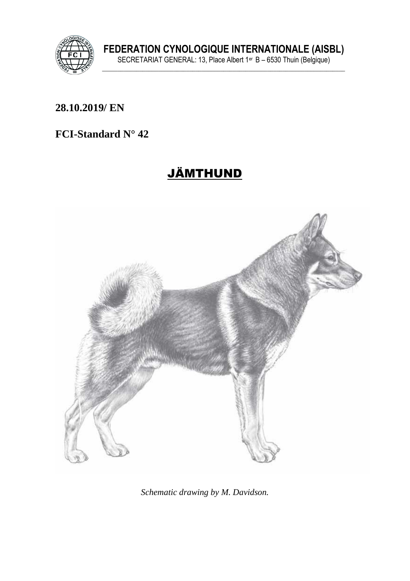

**FEDERATION CYNOLOGIQUE INTERNATIONALE (AISBL)** SECRETARIAT GENERAL: 13, Place Albert 1er B – 6530 Thuin (Belgique) **\_\_\_\_\_\_\_\_\_\_\_\_\_\_\_\_\_\_\_\_\_\_\_\_\_\_\_\_\_\_\_\_\_\_\_\_\_\_\_\_\_\_\_\_\_\_\_\_\_\_\_\_\_\_\_\_\_\_\_\_\_\_\_\_\_\_\_\_\_\_\_\_\_\_\_\_\_\_**

### **\_\_\_\_\_\_\_\_\_\_\_\_\_\_\_\_\_\_\_\_\_\_\_\_\_\_\_\_\_\_\_\_\_\_\_\_\_\_\_\_\_\_\_\_\_\_\_\_\_\_\_\_\_\_\_\_\_\_\_\_\_\_\_ 28.10.2019/ EN**

### **FCI-Standard N° 42**

# JÄMTHUND



*Schematic drawing by M. Davidson.*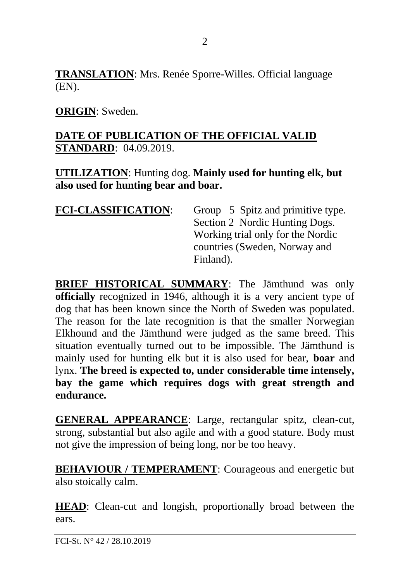**TRANSLATION**: Mrs. Renée Sporre-Willes. Official language (EN).

### **ORIGIN**: Sweden.

### **DATE OF PUBLICATION OF THE OFFICIAL VALID STANDARD**: 04.09.2019.

**UTILIZATION**: Hunting dog. **Mainly used for hunting elk, but also used for hunting bear and boar.**

| Group 5 Spitz and primitive type. |
|-----------------------------------|
| Section 2 Nordic Hunting Dogs.    |
| Working trial only for the Nordic |
| countries (Sweden, Norway and     |
| Finland).                         |
|                                   |

**BRIEF HISTORICAL SUMMARY**: The Jämthund was only **officially** recognized in 1946, although it is a very ancient type of dog that has been known since the North of Sweden was populated. The reason for the late recognition is that the smaller Norwegian Elkhound and the Jämthund were judged as the same breed. This situation eventually turned out to be impossible. The Jämthund is mainly used for hunting elk but it is also used for bear, **boar** and lynx. **The breed is expected to, under considerable time intensely, bay the game which requires dogs with great strength and endurance.**

**GENERAL APPEARANCE**: Large, rectangular spitz, clean-cut, strong, substantial but also agile and with a good stature. Body must not give the impression of being long, nor be too heavy.

**BEHAVIOUR / TEMPERAMENT:** Courageous and energetic but also stoically calm.

**HEAD**: Clean-cut and longish, proportionally broad between the ears.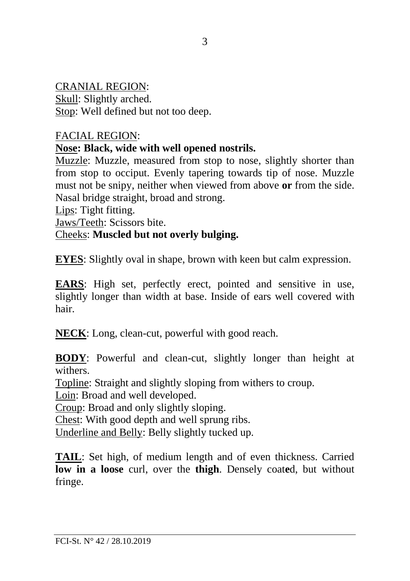### CRANIAL REGION:

Skull: Slightly arched. Stop: Well defined but not too deep.

#### FACIAL REGION:

#### **Nose: Black, wide with well opened nostrils.**

Muzzle: Muzzle, measured from stop to nose, slightly shorter than from stop to occiput. Evenly tapering towards tip of nose. Muzzle must not be snipy, neither when viewed from above **or** from the side. Nasal bridge straight, broad and strong.

Lips: Tight fitting.

Jaws/Teeth: Scissors bite.

### Cheeks: **Muscled but not overly bulging.**

**EYES**: Slightly oval in shape, brown with keen but calm expression.

**EARS**: High set, perfectly erect, pointed and sensitive in use, slightly longer than width at base. Inside of ears well covered with hair.

**NECK**: Long, clean-cut, powerful with good reach.

**BODY**: Powerful and clean-cut, slightly longer than height at withers.

Topline: Straight and slightly sloping from withers to croup.

Loin: Broad and well developed.

Croup: Broad and only slightly sloping.

Chest: With good depth and well sprung ribs.

Underline and Belly: Belly slightly tucked up.

**TAIL**: Set high, of medium length and of even thickness. Carried **low in a loose** curl, over the **thigh**. Densely coat**e**d, but without fringe.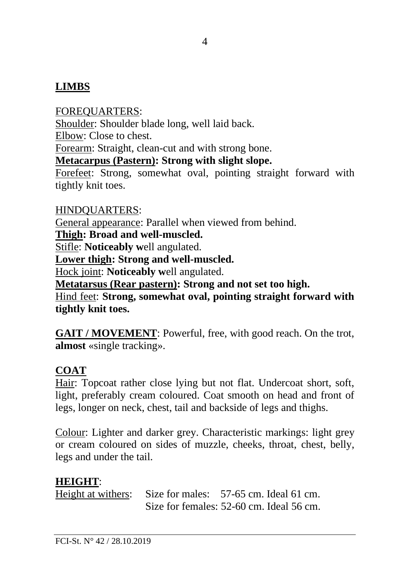### **LIMBS**

FOREQUARTERS: Shoulder: Shoulder blade long, well laid back. Elbow: Close to chest. Forearm: Straight, clean-cut and with strong bone. **Metacarpus (Pastern): Strong with slight slope.** Forefeet: Strong, somewhat oval, pointing straight forward with

tightly knit toes.

#### HINDQUARTERS:

General appearance: Parallel when viewed from behind.

**Thigh: Broad and well-muscled.**

Stifle: **Noticeably w**ell angulated.

**Lower thigh: Strong and well-muscled.**

Hock joint: **Noticeably w**ell angulated.

**Metatarsus (Rear pastern): Strong and not set too high.** Hind feet: **Strong, somewhat oval, pointing straight forward with** 

**tightly knit toes.**

**GAIT / MOVEMENT**: Powerful, free, with good reach. On the trot, **almost** «single tracking».

### **COAT**

Hair: Topcoat rather close lying but not flat. Undercoat short, soft, light, preferably cream coloured. Coat smooth on head and front of legs, longer on neck, chest, tail and backside of legs and thighs.

Colour: Lighter and darker grey. Characteristic markings: light grey or cream coloured on sides of muzzle, cheeks, throat, chest, belly, legs and under the tail.

### **HEIGHT**:

Height at withers: Size for males: 57-65 cm. Ideal 61 cm. Size for females: 52-60 cm. Ideal 56 cm.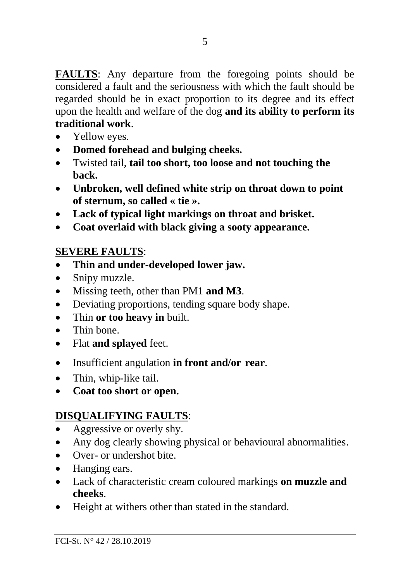**FAULTS**: Any departure from the foregoing points should be considered a fault and the seriousness with which the fault should be regarded should be in exact proportion to its degree and its effect upon the health and welfare of the dog **and its ability to perform its traditional work**.

- Yellow eyes.
- **Domed forehead and bulging cheeks.**
- Twisted tail, **tail too short, too loose and not touching the back.**
- **Unbroken, well defined white strip on throat down to point of sternum, so called « tie ».**
- **Lack of typical light markings on throat and brisket.**
- **Coat overlaid with black giving a sooty appearance.**

### **SEVERE FAULTS**:

- **Thin and under-developed lower jaw.**
- Snipy muzzle.
- Missing teeth, other than PM1 **and M3**.
- Deviating proportions, tending square body shape.
- Thin **or too heavy in** built.
- Thin bone
- Flat **and splayed** feet.
- Insufficient angulation **in front and/or rear**.
- Thin, whip-like tail.
- **Coat too short or open.**

# **DISQUALIFYING FAULTS**:

- Aggressive or overly shy.
- Any dog clearly showing physical or behavioural abnormalities.
- Over- or undershot bite.
- Hanging ears.
- Lack of characteristic cream coloured markings **on muzzle and cheeks**.
- Height at withers other than stated in the standard.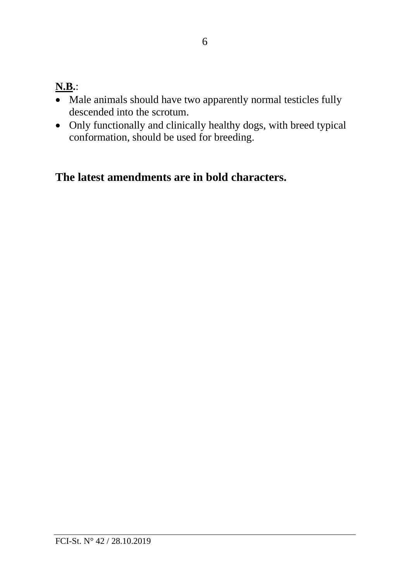## **N.B.**:

- Male animals should have two apparently normal testicles fully descended into the scrotum.
- Only functionally and clinically healthy dogs, with breed typical conformation, should be used for breeding.

## **The latest amendments are in bold characters.**